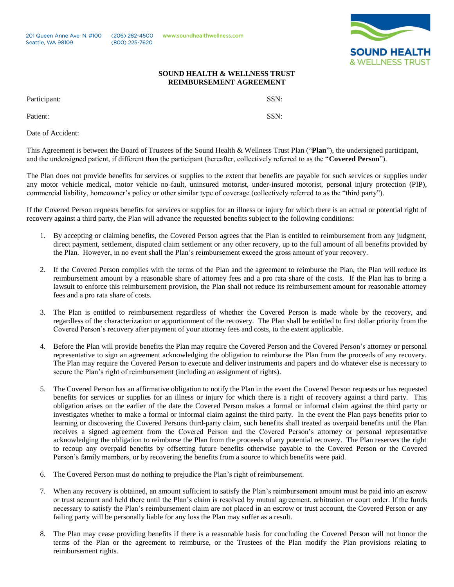201 Queen Anne Ave. N. #100 Seattle, WA 98109

 $(206)$  282-4500 (800) 225-7620

Patient: SSN:

www.soundhealthwellness.com



## **SOUND HEALTH & WELLNESS TRUST REIMBURSEMENT AGREEMENT**

Participant: SSN:

Date of Accident:

This Agreement is between the Board of Trustees of the Sound Health & Wellness Trust Plan ("**Plan**"), the undersigned participant, and the undersigned patient, if different than the participant (hereafter, collectively referred to as the "**Covered Person**").

The Plan does not provide benefits for services or supplies to the extent that benefits are payable for such services or supplies under any motor vehicle medical, motor vehicle no-fault, uninsured motorist, under-insured motorist, personal injury protection (PIP), commercial liability, homeowner's policy or other similar type of coverage (collectively referred to as the "third party").

If the Covered Person requests benefits for services or supplies for an illness or injury for which there is an actual or potential right of recovery against a third party, the Plan will advance the requested benefits subject to the following conditions:

- 1. By accepting or claiming benefits, the Covered Person agrees that the Plan is entitled to reimbursement from any judgment, direct payment, settlement, disputed claim settlement or any other recovery, up to the full amount of all benefits provided by the Plan. However, in no event shall the Plan's reimbursement exceed the gross amount of your recovery.
- 2. If the Covered Person complies with the terms of the Plan and the agreement to reimburse the Plan, the Plan will reduce its reimbursement amount by a reasonable share of attorney fees and a pro rata share of the costs. If the Plan has to bring a lawsuit to enforce this reimbursement provision, the Plan shall not reduce its reimbursement amount for reasonable attorney fees and a pro rata share of costs.
- 3. The Plan is entitled to reimbursement regardless of whether the Covered Person is made whole by the recovery, and regardless of the characterization or apportionment of the recovery. The Plan shall be entitled to first dollar priority from the Covered Person's recovery after payment of your attorney fees and costs, to the extent applicable.
- 4. Before the Plan will provide benefits the Plan may require the Covered Person and the Covered Person's attorney or personal representative to sign an agreement acknowledging the obligation to reimburse the Plan from the proceeds of any recovery. The Plan may require the Covered Person to execute and deliver instruments and papers and do whatever else is necessary to secure the Plan's right of reimbursement (including an assignment of rights).
- 5. The Covered Person has an affirmative obligation to notify the Plan in the event the Covered Person requests or has requested benefits for services or supplies for an illness or injury for which there is a right of recovery against a third party. This obligation arises on the earlier of the date the Covered Person makes a formal or informal claim against the third party or investigates whether to make a formal or informal claim against the third party. In the event the Plan pays benefits prior to learning or discovering the Covered Persons third-party claim, such benefits shall treated as overpaid benefits until the Plan receives a signed agreement from the Covered Person and the Covered Person's attorney or personal representative acknowledging the obligation to reimburse the Plan from the proceeds of any potential recovery. The Plan reserves the right to recoup any overpaid benefits by offsetting future benefits otherwise payable to the Covered Person or the Covered Person's family members, or by recovering the benefits from a source to which benefits were paid.
- 6. The Covered Person must do nothing to prejudice the Plan's right of reimbursement.
- 7. When any recovery is obtained, an amount sufficient to satisfy the Plan's reimbursement amount must be paid into an escrow or trust account and held there until the Plan's claim is resolved by mutual agreement, arbitration or court order. If the funds necessary to satisfy the Plan's reimbursement claim are not placed in an escrow or trust account, the Covered Person or any failing party will be personally liable for any loss the Plan may suffer as a result.
- The Plan may cease providing benefits if there is a reasonable basis for concluding the Covered Person will not honor the terms of the Plan or the agreement to reimburse, or the Trustees of the Plan modify the Plan provisions relating to reimbursement rights.